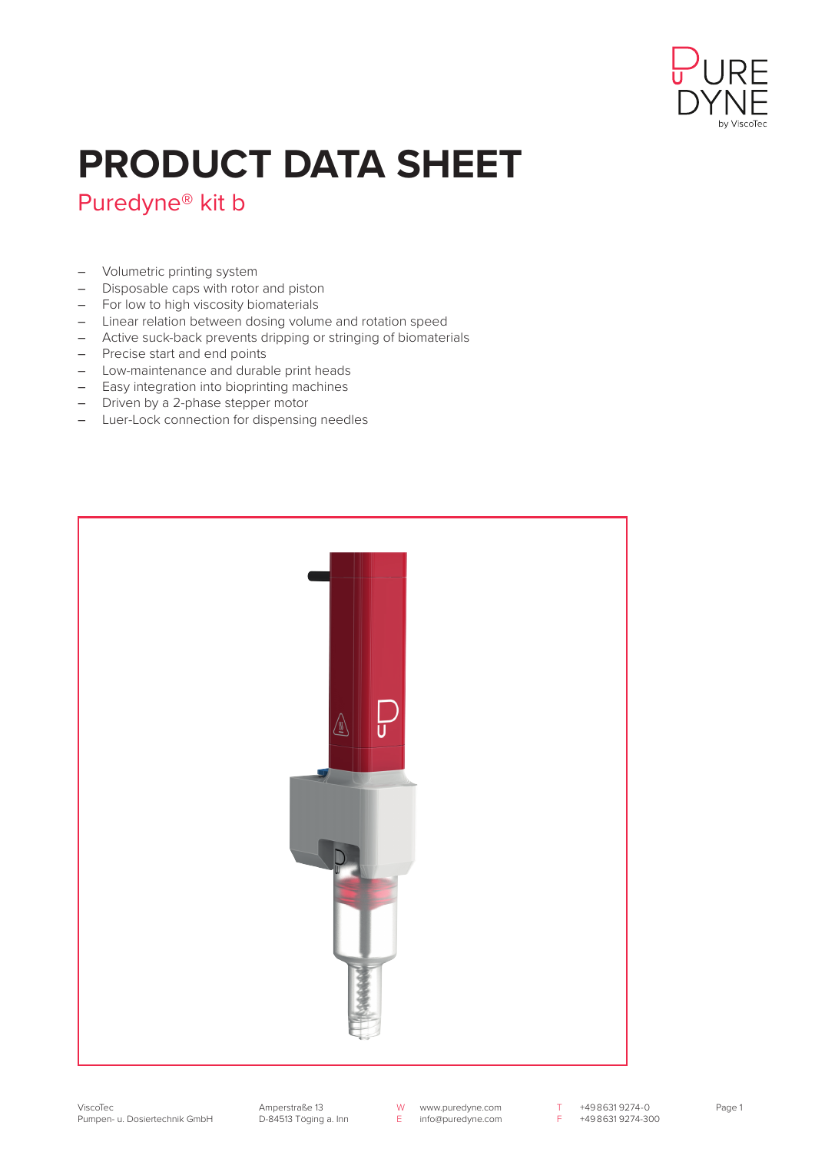

## **PRODUCT DATA SHEET**

## Puredyne® kit b

- Volumetric printing system
- Disposable caps with rotor and piston
- For low to high viscosity biomaterials
- Linear relation between dosing volume and rotation speed
- Active suck-back prevents dripping or stringing of biomaterials
- Precise start and end points
- Low-maintenance and durable print heads
- Easy integration into bioprinting machines
- Driven by a 2-phase stepper motor
- Luer-Lock connection for dispensing needles